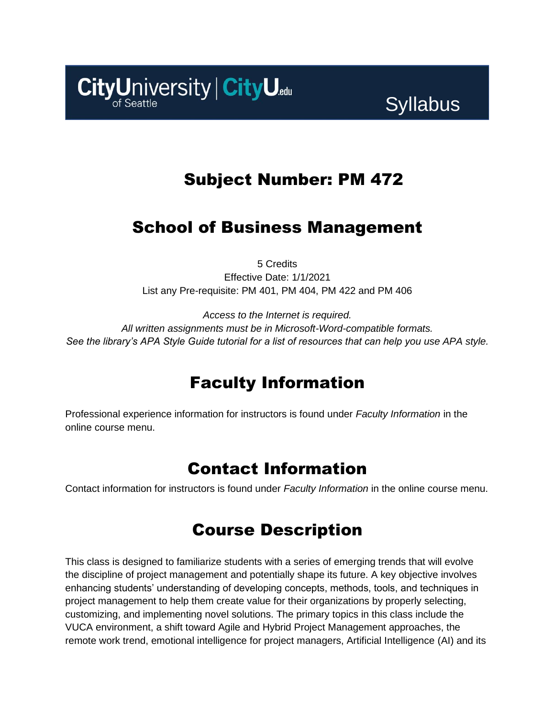

## Subject Number: PM 472

# School of Business Management

5 Credits

Effective Date: 1/1/2021 List any Pre-requisite: PM 401, PM 404, PM 422 and PM 406

*Access to the Internet is required. All written assignments must be in Microsoft-Word-compatible formats. See the library's APA Style Guide tutorial for a list of resources that can help you use APA style.*

# Faculty Information

Professional experience information for instructors is found under *Faculty Information* in the online course menu.

## Contact Information

Contact information for instructors is found under *Faculty Information* in the online course menu.

## Course Description

This class is designed to familiarize students with a series of emerging trends that will evolve the discipline of project management and potentially shape its future. A key objective involves enhancing students' understanding of developing concepts, methods, tools, and techniques in project management to help them create value for their organizations by properly selecting, customizing, and implementing novel solutions. The primary topics in this class include the VUCA environment, a shift toward Agile and Hybrid Project Management approaches, the remote work trend, emotional intelligence for project managers, Artificial Intelligence (AI) and its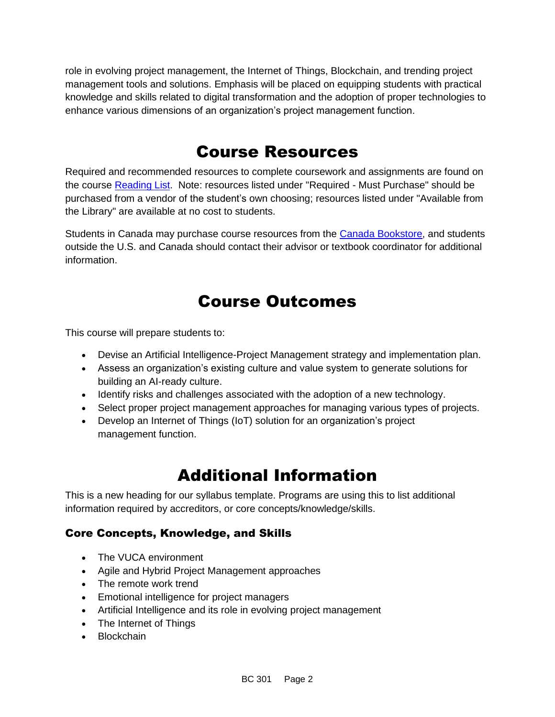role in evolving project management, the Internet of Things, Blockchain, and trending project management tools and solutions. Emphasis will be placed on equipping students with practical knowledge and skills related to digital transformation and the adoption of proper technologies to enhance various dimensions of an organization's project management function.

## Course Resources

Required and recommended resources to complete coursework and assignments are found on the course [Reading List.](https://cityu.alma.exlibrisgroup.com/leganto/login?auth=SAML) Note: resources listed under "Required - Must Purchase" should be purchased from a vendor of the student's own choosing; resources listed under "Available from the Library" are available at no cost to students.

Students in Canada may purchase course resources from the [Canada Bookstore,](https://www.cityubookstore.ca/index.asp) and students outside the U.S. and Canada should contact their advisor or textbook coordinator for additional information.

## Course Outcomes

This course will prepare students to:

- Devise an Artificial Intelligence-Project Management strategy and implementation plan.
- Assess an organization's existing culture and value system to generate solutions for building an AI-ready culture.
- Identify risks and challenges associated with the adoption of a new technology.
- Select proper project management approaches for managing various types of projects.
- Develop an Internet of Things (IoT) solution for an organization's project management function.

## Additional Information

This is a new heading for our syllabus template. Programs are using this to list additional information required by accreditors, or core concepts/knowledge/skills.

### Core Concepts, Knowledge, and Skills

- The VUCA environment
- Agile and Hybrid Project Management approaches
- The remote work trend
- Emotional intelligence for project managers
- Artificial Intelligence and its role in evolving project management
- The Internet of Things
- Blockchain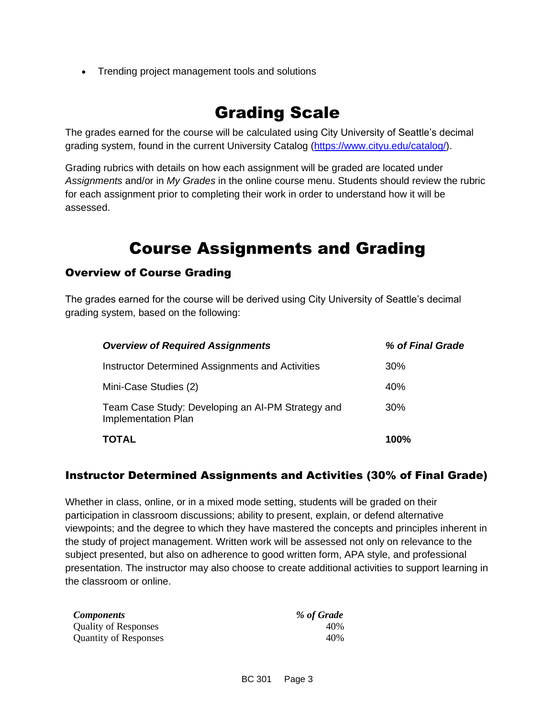• Trending project management tools and solutions

### Grading Scale

The grades earned for the course will be calculated using City University of Seattle's decimal grading system, found in the current University Catalog [\(https://www.cityu.edu/catalog/\)](https://www.cityu.edu/catalog/).

Grading rubrics with details on how each assignment will be graded are located under *Assignments* and/or in *My Grades* in the online course menu. Students should review the rubric for each assignment prior to completing their work in order to understand how it will be assessed.

## Course Assignments and Grading

### Overview of Course Grading

The grades earned for the course will be derived using City University of Seattle's decimal grading system, based on the following:

| <b>Overview of Required Assignments</b>                                  | % of Final Grade |
|--------------------------------------------------------------------------|------------------|
| Instructor Determined Assignments and Activities                         | 30%              |
| Mini-Case Studies (2)                                                    | 40%              |
| Team Case Study: Developing an AI-PM Strategy and<br>Implementation Plan | <b>30%</b>       |
| <b>TOTAL</b>                                                             | <b>100%</b>      |

#### Instructor Determined Assignments and Activities (30% of Final Grade)

Whether in class, online, or in a mixed mode setting, students will be graded on their participation in classroom discussions; ability to present, explain, or defend alternative viewpoints; and the degree to which they have mastered the concepts and principles inherent in the study of project management. Written work will be assessed not only on relevance to the subject presented, but also on adherence to good written form, APA style, and professional presentation. The instructor may also choose to create additional activities to support learning in the classroom or online.

| <b>Components</b>            | % of Grade |
|------------------------------|------------|
| <b>Quality of Responses</b>  | 40%        |
| <b>Quantity of Responses</b> | 40%        |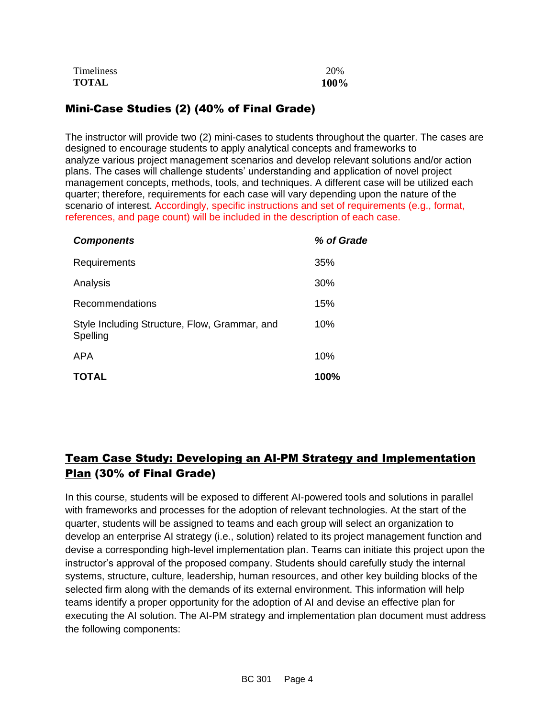| Timeliness   | 20%  |
|--------------|------|
| <b>TOTAL</b> | 100% |

### Mini-Case Studies (2) (40% of Final Grade)

The instructor will provide two (2) mini-cases to students throughout the quarter. The cases are designed to encourage students to apply analytical concepts and frameworks to analyze various project management scenarios and develop relevant solutions and/or action plans. The cases will challenge students' understanding and application of novel project management concepts, methods, tools, and techniques. A different case will be utilized each quarter; therefore, requirements for each case will vary depending upon the nature of the scenario of interest. Accordingly, specific instructions and set of requirements (e.g., format, references, and page count) will be included in the description of each case.

| <b>Components</b>                                         | % of Grade |
|-----------------------------------------------------------|------------|
| Requirements                                              | 35%        |
| Analysis                                                  | 30%        |
| Recommendations                                           | 15%        |
| Style Including Structure, Flow, Grammar, and<br>Spelling | 10%        |
| APA                                                       | 10%        |
| TOTAL                                                     | 100%       |

### Team Case Study: Developing an AI-PM Strategy and Implementation Plan (30% of Final Grade)

In this course, students will be exposed to different AI-powered tools and solutions in parallel with frameworks and processes for the adoption of relevant technologies. At the start of the quarter, students will be assigned to teams and each group will select an organization to develop an enterprise AI strategy (i.e., solution) related to its project management function and devise a corresponding high-level implementation plan. Teams can initiate this project upon the instructor's approval of the proposed company. Students should carefully study the internal systems, structure, culture, leadership, human resources, and other key building blocks of the selected firm along with the demands of its external environment. This information will help teams identify a proper opportunity for the adoption of AI and devise an effective plan for executing the AI solution. The AI-PM strategy and implementation plan document must address the following components: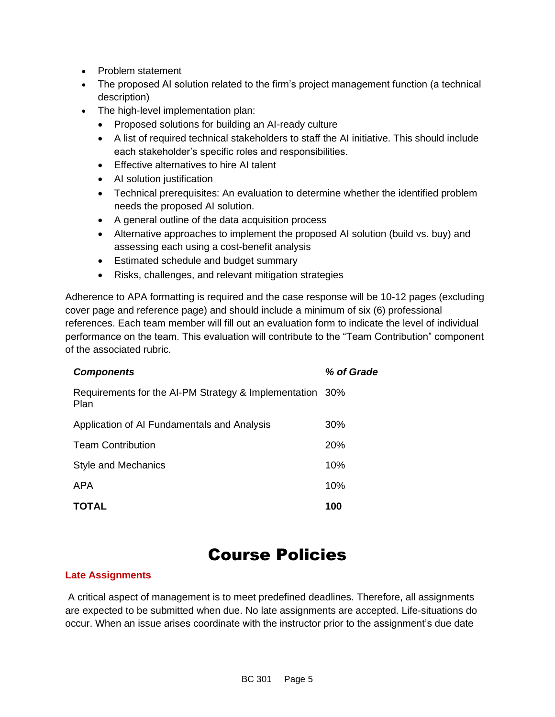- Problem statement
- The proposed AI solution related to the firm's project management function (a technical description)
- The high-level implementation plan:
	- Proposed solutions for building an AI-ready culture
	- A list of required technical stakeholders to staff the AI initiative. This should include each stakeholder's specific roles and responsibilities.
	- Effective alternatives to hire AI talent
	- AI solution justification
	- Technical prerequisites: An evaluation to determine whether the identified problem needs the proposed AI solution.
	- A general outline of the data acquisition process
	- Alternative approaches to implement the proposed AI solution (build vs. buy) and assessing each using a cost-benefit analysis
	- Estimated schedule and budget summary
	- Risks, challenges, and relevant mitigation strategies

Adherence to APA formatting is required and the case response will be 10-12 pages (excluding cover page and reference page) and should include a minimum of six (6) professional references. Each team member will fill out an evaluation form to indicate the level of individual performance on the team. This evaluation will contribute to the "Team Contribution" component of the associated rubric.

| <b>Components</b>                                                | % of Grade |
|------------------------------------------------------------------|------------|
| Requirements for the AI-PM Strategy & Implementation 30%<br>Plan |            |
| Application of AI Fundamentals and Analysis                      | 30%        |
| <b>Team Contribution</b>                                         | <b>20%</b> |
| Style and Mechanics                                              | 10%        |
| <b>APA</b>                                                       | 10%        |
| TOTAL                                                            | 100        |

## Course Policies

#### **Late Assignments**

A critical aspect of management is to meet predefined deadlines. Therefore, all assignments are expected to be submitted when due. No late assignments are accepted. Life-situations do occur. When an issue arises coordinate with the instructor prior to the assignment's due date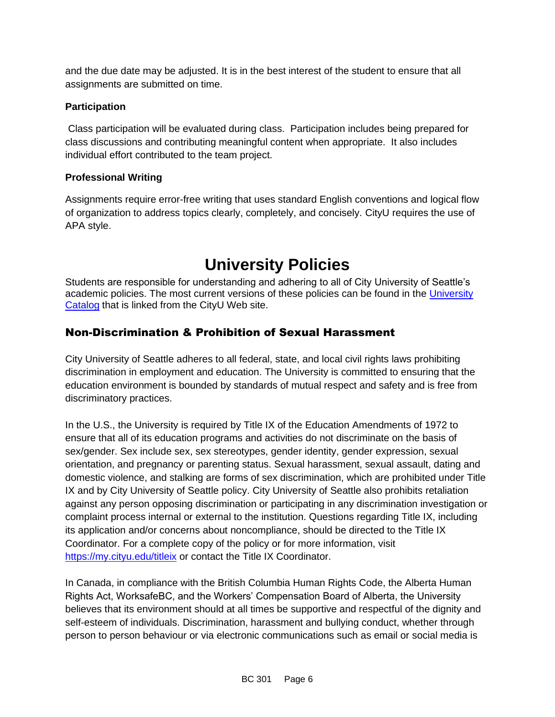and the due date may be adjusted. It is in the best interest of the student to ensure that all assignments are submitted on time.

#### **Participation**

Class participation will be evaluated during class. Participation includes being prepared for class discussions and contributing meaningful content when appropriate. It also includes individual effort contributed to the team project.

#### **Professional Writing**

Assignments require error-free writing that uses standard English conventions and logical flow of organization to address topics clearly, completely, and concisely. CityU requires the use of APA style.

# **University Policies**

Students are responsible for understanding and adhering to all of City University of Seattle's academic policies. The most current versions of these policies can be found in the University [Catalog](http://www.cityu.edu/catalog/) that is linked from the CityU Web site.

### Non-Discrimination & Prohibition of Sexual Harassment

City University of Seattle adheres to all federal, state, and local civil rights laws prohibiting discrimination in employment and education. The University is committed to ensuring that the education environment is bounded by standards of mutual respect and safety and is free from discriminatory practices.

In the U.S., the University is required by Title IX of the Education Amendments of 1972 to ensure that all of its education programs and activities do not discriminate on the basis of sex/gender. Sex include sex, sex stereotypes, gender identity, gender expression, sexual orientation, and pregnancy or parenting status. Sexual harassment, sexual assault, dating and domestic violence, and stalking are forms of sex discrimination, which are prohibited under Title IX and by City University of Seattle policy. City University of Seattle also prohibits retaliation against any person opposing discrimination or participating in any discrimination investigation or complaint process internal or external to the institution. Questions regarding Title IX, including its application and/or concerns about noncompliance, should be directed to the Title IX Coordinator. For a complete copy of the policy or for more information, visit <https://my.cityu.edu/titleix> or contact the Title IX Coordinator.

In Canada, in compliance with the British Columbia Human Rights Code, the Alberta Human Rights Act, WorksafeBC, and the Workers' Compensation Board of Alberta, the University believes that its environment should at all times be supportive and respectful of the dignity and self-esteem of individuals. Discrimination, harassment and bullying conduct, whether through person to person behaviour or via electronic communications such as email or social media is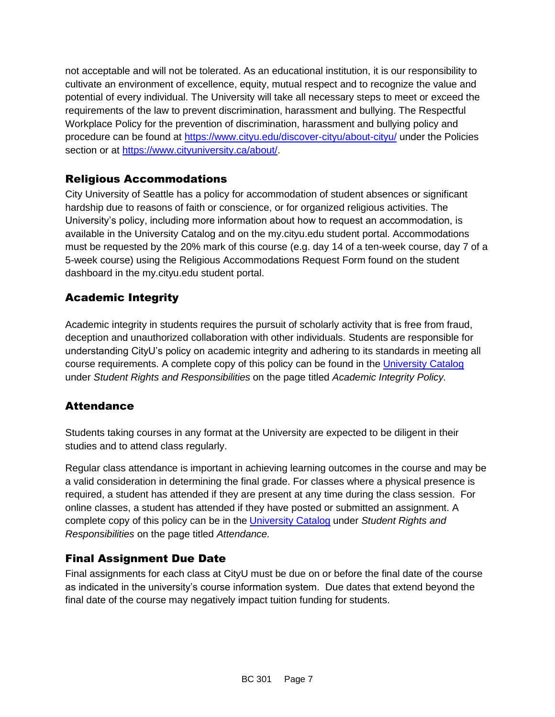not acceptable and will not be tolerated. As an educational institution, it is our responsibility to cultivate an environment of excellence, equity, mutual respect and to recognize the value and potential of every individual. The University will take all necessary steps to meet or exceed the requirements of the law to prevent discrimination, harassment and bullying. The Respectful Workplace Policy for the prevention of discrimination, harassment and bullying policy and procedure can be found at<https://www.cityu.edu/discover-cityu/about-cityu/> under the Policies section or at [https://www.cityuniversity.ca/about/.](https://www.cityuniversity.ca/about/)

### Religious Accommodations

City University of Seattle has a policy for accommodation of student absences or significant hardship due to reasons of faith or conscience, or for organized religious activities. The University's policy, including more information about how to request an accommodation, is available in the University Catalog and on the my.cityu.edu student portal. Accommodations must be requested by the 20% mark of this course (e.g. day 14 of a ten-week course, day 7 of a 5-week course) using the Religious Accommodations Request Form found on the student dashboard in the my.cityu.edu student portal.

### Academic Integrity

Academic integrity in students requires the pursuit of scholarly activity that is free from fraud, deception and unauthorized collaboration with other individuals. Students are responsible for understanding CityU's policy on academic integrity and adhering to its standards in meeting all course requirements. A complete copy of this policy can be found in the [University Catalog](http://www.cityu.edu/catalog/) under *Student Rights and Responsibilities* on the page titled *Academic Integrity Policy.* 

### **Attendance**

Students taking courses in any format at the University are expected to be diligent in their studies and to attend class regularly.

Regular class attendance is important in achieving learning outcomes in the course and may be a valid consideration in determining the final grade. For classes where a physical presence is required, a student has attended if they are present at any time during the class session. For online classes, a student has attended if they have posted or submitted an assignment. A complete copy of this policy can be in the [University Catalog](http://www.cityu.edu/catalog/) under *Student Rights and Responsibilities* on the page titled *Attendance.*

### Final Assignment Due Date

Final assignments for each class at CityU must be due on or before the final date of the course as indicated in the university's course information system. Due dates that extend beyond the final date of the course may negatively impact tuition funding for students.